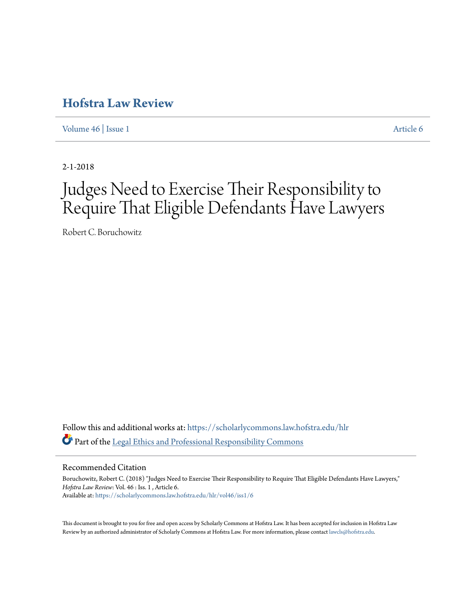# **[Hofstra Law Review](https://scholarlycommons.law.hofstra.edu/hlr?utm_source=scholarlycommons.law.hofstra.edu%2Fhlr%2Fvol46%2Fiss1%2F6&utm_medium=PDF&utm_campaign=PDFCoverPages)**

[Volume 46](https://scholarlycommons.law.hofstra.edu/hlr/vol46?utm_source=scholarlycommons.law.hofstra.edu%2Fhlr%2Fvol46%2Fiss1%2F6&utm_medium=PDF&utm_campaign=PDFCoverPages) | [Issue 1](https://scholarlycommons.law.hofstra.edu/hlr/vol46/iss1?utm_source=scholarlycommons.law.hofstra.edu%2Fhlr%2Fvol46%2Fiss1%2F6&utm_medium=PDF&utm_campaign=PDFCoverPages) [Article 6](https://scholarlycommons.law.hofstra.edu/hlr/vol46/iss1/6?utm_source=scholarlycommons.law.hofstra.edu%2Fhlr%2Fvol46%2Fiss1%2F6&utm_medium=PDF&utm_campaign=PDFCoverPages)

2-1-2018

# Judges Need to Exercise Their Responsibility to Require That Eligible Defendants Have Lawyers

Robert C. Boruchowitz

Follow this and additional works at: [https://scholarlycommons.law.hofstra.edu/hlr](https://scholarlycommons.law.hofstra.edu/hlr?utm_source=scholarlycommons.law.hofstra.edu%2Fhlr%2Fvol46%2Fiss1%2F6&utm_medium=PDF&utm_campaign=PDFCoverPages) Part of the [Legal Ethics and Professional Responsibility Commons](http://network.bepress.com/hgg/discipline/895?utm_source=scholarlycommons.law.hofstra.edu%2Fhlr%2Fvol46%2Fiss1%2F6&utm_medium=PDF&utm_campaign=PDFCoverPages)

#### Recommended Citation

Boruchowitz, Robert C. (2018) "Judges Need to Exercise Their Responsibility to Require That Eligible Defendants Have Lawyers," *Hofstra Law Review*: Vol. 46 : Iss. 1 , Article 6. Available at: [https://scholarlycommons.law.hofstra.edu/hlr/vol46/iss1/6](https://scholarlycommons.law.hofstra.edu/hlr/vol46/iss1/6?utm_source=scholarlycommons.law.hofstra.edu%2Fhlr%2Fvol46%2Fiss1%2F6&utm_medium=PDF&utm_campaign=PDFCoverPages)

This document is brought to you for free and open access by Scholarly Commons at Hofstra Law. It has been accepted for inclusion in Hofstra Law Review by an authorized administrator of Scholarly Commons at Hofstra Law. For more information, please contact [lawcls@hofstra.edu](mailto:lawcls@hofstra.edu).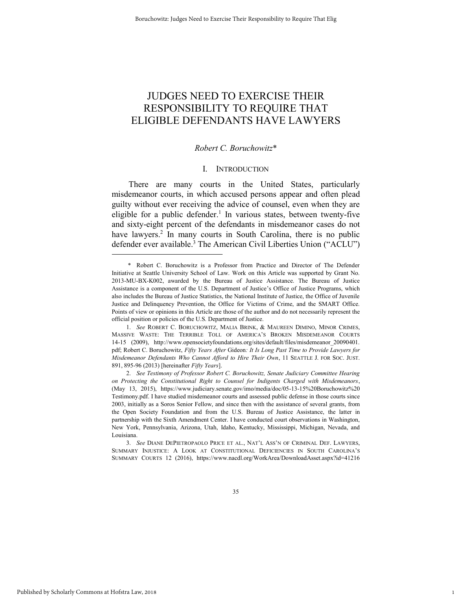## JUDGES NEED TO EXERCISE THEIR RESPONSIBILITY TO REQUIRE THAT ELIGIBLE DEFENDANTS HAVE LAWYERS

#### *Robert C. Boruchowitz*\*

#### I. INTRODUCTION

There are many courts in the United States, particularly misdemeanor courts, in which accused persons appear and often plead guilty without ever receiving the advice of counsel, even when they are eligible for a public defender.<sup>1</sup> In various states, between twenty-five and sixty-eight percent of the defendants in misdemeanor cases do not have lawyers.<sup>2</sup> In many courts in South Carolina, there is no public defender ever available.<sup>3</sup> The American Civil Liberties Union ("ACLU")

1. *See* ROBERT C. BORUCHOWITZ, MALIA BRINK, & MAUREEN DIMINO, MINOR CRIMES, MASSIVE WASTE: THE TERRIBLE TOLL OF AMERICA'S BROKEN MISDEMEANOR COURTS 14-15 (2009), http://www.opensocietyfoundations.org/sites/default/files/misdemeanor\_20090401. pdf; Robert C. Boruchowitz, *Fifty Years After* Gideon*: It Is Long Past Time to Provide Lawyers for Misdemeanor Defendants Who Cannot Afford to Hire Their Own*, 11 SEATTLE J. FOR SOC. JUST. 891, 895-96 (2013) [hereinafter *Fifty Years*].

2. *See Testimony of Professor Robert C. Boruchowitz, Senate Judiciary Committee Hearing on Protecting the Constitutional Right to Counsel for Indigents Charged with Misdemeanors*, (May 13, 2015), https://www.judiciary.senate.gov/imo/media/doc/05-13-15%20Boruchowitz%20 Testimony.pdf. I have studied misdemeanor courts and assessed public defense in those courts since 2003, initially as a Soros Senior Fellow, and since then with the assistance of several grants, from the Open Society Foundation and from the U.S. Bureau of Justice Assistance, the latter in partnership with the Sixth Amendment Center. I have conducted court observations in Washington, New York, Pennsylvania, Arizona, Utah, Idaho, Kentucky, Mississippi, Michigan, Nevada, and Louisiana.

3. *See* DIANE DEPIETROPAOLO PRICE ET AL., NAT'L ASS'N OF CRIMINAL DEF. LAWYERS, SUMMARY INJUSTICE: A LOOK AT CONSTITUTIONAL DEFICIENCIES IN SOUTH CAROLINA'S SUMMARY COURTS 12 (2016), https://www.nacdl.org/WorkArea/DownloadAsset.aspx?id=41216

1

 <sup>\*</sup> Robert C. Boruchowitz is a Professor from Practice and Director of The Defender Initiative at Seattle University School of Law. Work on this Article was supported by Grant No. 2013-MU-BX-K002, awarded by the Bureau of Justice Assistance. The Bureau of Justice Assistance is a component of the U.S. Department of Justice's Office of Justice Programs, which also includes the Bureau of Justice Statistics, the National Institute of Justice, the Office of Juvenile Justice and Delinquency Prevention, the Office for Victims of Crime, and the SMART Office. Points of view or opinions in this Article are those of the author and do not necessarily represent the official position or policies of the U.S. Department of Justice.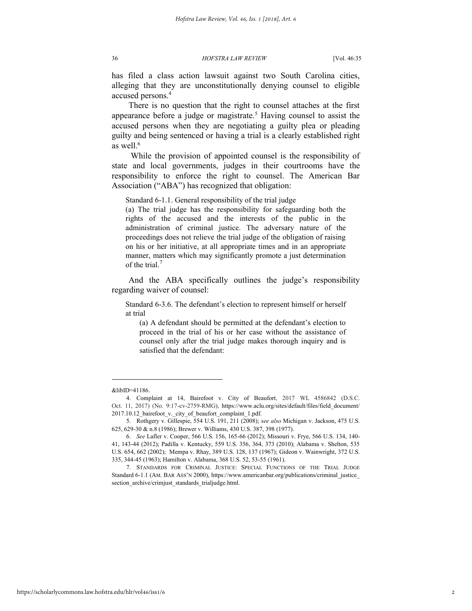has filed a class action lawsuit against two South Carolina cities, alleging that they are unconstitutionally denying counsel to eligible accused persons.<sup>4</sup>

There is no question that the right to counsel attaches at the first appearance before a judge or magistrate.<sup>5</sup> Having counsel to assist the accused persons when they are negotiating a guilty plea or pleading guilty and being sentenced or having a trial is a clearly established right as well.<sup>6</sup>

While the provision of appointed counsel is the responsibility of state and local governments, judges in their courtrooms have the responsibility to enforce the right to counsel. The American Bar Association ("ABA") has recognized that obligation:

Standard 6-1.1. General responsibility of the trial judge

(a) The trial judge has the responsibility for safeguarding both the rights of the accused and the interests of the public in the administration of criminal justice. The adversary nature of the proceedings does not relieve the trial judge of the obligation of raising on his or her initiative, at all appropriate times and in an appropriate manner, matters which may significantly promote a just determination of the trial. $<sup>7</sup>$ </sup>

And the ABA specifically outlines the judge's responsibility regarding waiver of counsel:

Standard 6-3.6. The defendant's election to represent himself or herself at trial

(a) A defendant should be permitted at the defendant's election to proceed in the trial of his or her case without the assistance of counsel only after the trial judge makes thorough inquiry and is satisfied that the defendant:

<sup>&</sup>amp;libID=41186.

<sup>4.</sup> Complaint at 14, Bairefoot v. City of Beaufort, 2017 WL 4586842 (D.S.C. Oct. 11, 2017) (No. 9:17-cv-2759-RMG), https://www.aclu.org/sites/default/files/field\_document/ 2017.10.12\_bairefoot\_v.\_city\_of\_beaufort\_complaint\_1.pdf.

<sup>5.</sup> Rothgery v. Gillespie, 554 U.S. 191, 211 (2008); *see also* Michigan v. Jackson, 475 U.S. 625, 629-30 & n.8 (1986); Brewer v. Williams, 430 U.S. 387, 398 (1977).

<sup>6.</sup> *See* Lafler v. Cooper, 566 U.S. 156, 165-66 (2012); Missouri v. Frye, 566 U.S. 134, 140- 41, 143-44 (2012); Padilla v. Kentucky, 559 U.S. 356, 364, 373 (2010); Alabama v. Shelton, 535 U.S. 654, 662 (2002); Mempa v. Rhay, 389 U.S. 128, 137 (1967); Gideon v. Wainwright, 372 U.S. 335, 344-45 (1963); Hamilton v. Alabama, 368 U.S. 52, 53-55 (1961).

<sup>7.</sup> STANDARDS FOR CRIMINAL JUSTICE: SPECIAL FUNCTIONS OF THE TRIAL JUDGE Standard 6-1.1 (AM. BAR ASS'N 2000), https://www.americanbar.org/publications/criminal\_justice\_ section archive/crimjust standards trialjudge.html.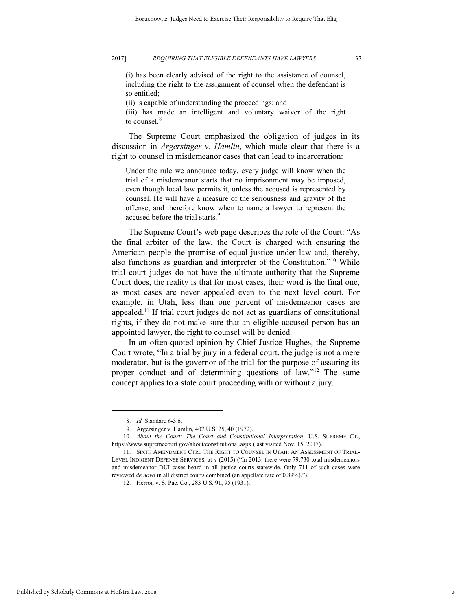(i) has been clearly advised of the right to the assistance of counsel, including the right to the assignment of counsel when the defendant is so entitled;

(ii) is capable of understanding the proceedings; and

(iii) has made an intelligent and voluntary waiver of the right to counsel.<sup>8</sup>

The Supreme Court emphasized the obligation of judges in its discussion in *Argersinger v. Hamlin*, which made clear that there is a right to counsel in misdemeanor cases that can lead to incarceration:

Under the rule we announce today, every judge will know when the trial of a misdemeanor starts that no imprisonment may be imposed, even though local law permits it, unless the accused is represented by counsel. He will have a measure of the seriousness and gravity of the offense, and therefore know when to name a lawyer to represent the accused before the trial starts.<sup>9</sup>

The Supreme Court's web page describes the role of the Court: "As the final arbiter of the law, the Court is charged with ensuring the American people the promise of equal justice under law and, thereby, also functions as guardian and interpreter of the Constitution."<sup>10</sup> While trial court judges do not have the ultimate authority that the Supreme Court does, the reality is that for most cases, their word is the final one, as most cases are never appealed even to the next level court. For example, in Utah, less than one percent of misdemeanor cases are appealed.<sup>11</sup> If trial court judges do not act as guardians of constitutional rights, if they do not make sure that an eligible accused person has an appointed lawyer, the right to counsel will be denied.

In an often-quoted opinion by Chief Justice Hughes, the Supreme Court wrote, "In a trial by jury in a federal court, the judge is not a mere moderator, but is the governor of the trial for the purpose of assuring its proper conduct and of determining questions of law."<sup>12</sup> The same concept applies to a state court proceeding with or without a jury.

<sup>8.</sup> *Id.* Standard 6-3.6.

<sup>9.</sup> Argersinger v. Hamlin, 407 U.S. 25, 40 (1972).

<sup>10.</sup> *About the Court: The Court and Constitutional Interpretation*, U.S. SUPREME CT., https://www.supremecourt.gov/about/constitutional.aspx (last visited Nov. 15, 2017).

<sup>11.</sup> SIXTH AMENDMENT CTR., THE RIGHT TO COUNSEL IN UTAH: AN ASSESSMENT OF TRIAL-LEVEL INDIGENT DEFENSE SERVICES, at v (2015) ("In 2013, there were 79,730 total misdemeanors and misdemeanor DUI cases heard in all justice courts statewide. Only 711 of such cases were reviewed *de novo* in all district courts combined (an appellate rate of 0.89%).").

<sup>12.</sup> Herron v. S. Pac. Co., 283 U.S. 91, 95 (1931).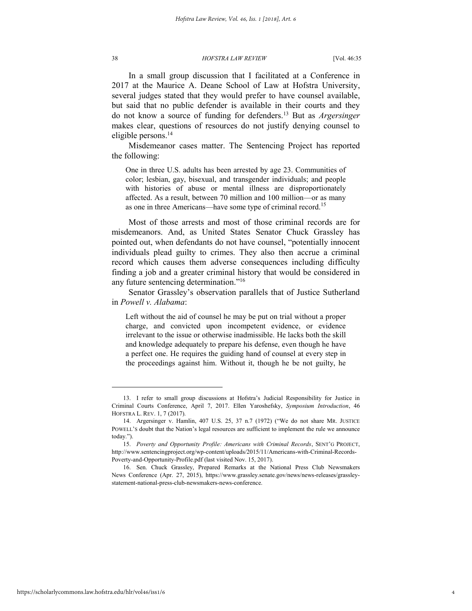In a small group discussion that I facilitated at a Conference in 2017 at the Maurice A. Deane School of Law at Hofstra University, several judges stated that they would prefer to have counsel available, but said that no public defender is available in their courts and they do not know a source of funding for defenders.<sup>13</sup> But as *Argersinger* makes clear, questions of resources do not justify denying counsel to eligible persons.<sup>14</sup>

Misdemeanor cases matter. The Sentencing Project has reported the following:

One in three U.S. adults has been arrested by age 23. Communities of color; lesbian, gay, bisexual, and transgender individuals; and people with histories of abuse or mental illness are disproportionately affected. As a result, between 70 million and 100 million—or as many as one in three Americans—have some type of criminal record.<sup>15</sup>

Most of those arrests and most of those criminal records are for misdemeanors. And, as United States Senator Chuck Grassley has pointed out, when defendants do not have counsel, "potentially innocent individuals plead guilty to crimes. They also then accrue a criminal record which causes them adverse consequences including difficulty finding a job and a greater criminal history that would be considered in any future sentencing determination."<sup>16</sup>

Senator Grassley's observation parallels that of Justice Sutherland in *Powell v. Alabama*:

Left without the aid of counsel he may be put on trial without a proper charge, and convicted upon incompetent evidence, or evidence irrelevant to the issue or otherwise inadmissible. He lacks both the skill and knowledge adequately to prepare his defense, even though he have a perfect one. He requires the guiding hand of counsel at every step in the proceedings against him. Without it, though he be not guilty, he

<sup>13.</sup> I refer to small group discussions at Hofstra's Judicial Responsibility for Justice in Criminal Courts Conference, April 7, 2017. Ellen Yaroshefsky, *Symposium Introduction*, 46 HOFSTRA L. REV. 1, 7 (2017).

<sup>14.</sup> Argersinger v. Hamlin, 407 U.S. 25, 37 n.7 (1972) ("We do not share MR. JUSTICE POWELL'S doubt that the Nation's legal resources are sufficient to implement the rule we announce today.").

<sup>15.</sup> *Poverty and Opportunity Profile: Americans with Criminal Records*, SENT'G PROJECT, http://www.sentencingproject.org/wp-content/uploads/2015/11/Americans-with-Criminal-Records-Poverty-and-Opportunity-Profile.pdf (last visited Nov. 15, 2017).

<sup>16.</sup> Sen. Chuck Grassley, Prepared Remarks at the National Press Club Newsmakers News Conference (Apr. 27, 2015), https://www.grassley.senate.gov/news/news-releases/grassleystatement-national-press-club-newsmakers-news-conference.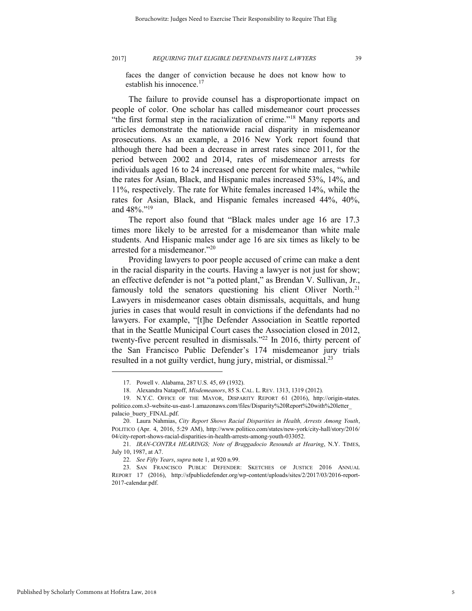faces the danger of conviction because he does not know how to establish his innocence. $17$ 

The failure to provide counsel has a disproportionate impact on people of color. One scholar has called misdemeanor court processes "the first formal step in the racialization of crime."<sup>18</sup> Many reports and articles demonstrate the nationwide racial disparity in misdemeanor prosecutions. As an example, a 2016 New York report found that although there had been a decrease in arrest rates since 2011, for the period between 2002 and 2014, rates of misdemeanor arrests for individuals aged 16 to 24 increased one percent for white males, "while the rates for Asian, Black, and Hispanic males increased 53%, 14%, and 11%, respectively. The rate for White females increased 14%, while the rates for Asian, Black, and Hispanic females increased 44%, 40%, and 48%."<sup>19</sup>

The report also found that "Black males under age 16 are 17.3 times more likely to be arrested for a misdemeanor than white male students. And Hispanic males under age 16 are six times as likely to be arrested for a misdemeanor."<sup>20</sup>

Providing lawyers to poor people accused of crime can make a dent in the racial disparity in the courts. Having a lawyer is not just for show; an effective defender is not "a potted plant," as Brendan V. Sullivan, Jr., famously told the senators questioning his client Oliver North.<sup>21</sup> Lawyers in misdemeanor cases obtain dismissals, acquittals, and hung juries in cases that would result in convictions if the defendants had no lawyers. For example, "[t]he Defender Association in Seattle reported that in the Seattle Municipal Court cases the Association closed in 2012, twenty-five percent resulted in dismissals." <sup>22</sup> In 2016, thirty percent of the San Francisco Public Defender's 174 misdemeanor jury trials resulted in a not guilty verdict, hung jury, mistrial, or dismissal.<sup>23</sup>

<sup>17.</sup> Powell v. Alabama, 287 U.S. 45, 69 (1932).

<sup>18.</sup> Alexandra Natapoff, *Misdemeanors*, 85 S. CAL. L. REV. 1313, 1319 (2012).

<sup>19.</sup> N.Y.C. OFFICE OF THE MAYOR, DISPARITY REPORT 61 (2016), http://origin-states. politico.com.s3-website-us-east-1.amazonaws.com/files/Disparity%20Report%20with%20letter\_ palacio\_buery\_FINAL.pdf.

<sup>20.</sup> Laura Nahmias, *City Report Shows Racial Disparities in Health, Arrests Among Youth*, POLITICO (Apr. 4, 2016, 5:29 AM), http://www.politico.com/states/new-york/city-hall/story/2016/ 04/city-report-shows-racial-disparities-in-health-arrests-among-youth-033052.

<sup>21.</sup> *IRAN-CONTRA HEARINGS; Note of Braggadocio Resounds at Hearing*, N.Y. TIMES, July 10, 1987, at A7.

<sup>22.</sup> *See Fifty Years*, *supra* note 1, at 920 n.99.

<sup>23.</sup> SAN FRANCISCO PUBLIC DEFENDER: SKETCHES OF JUSTICE 2016 ANNUAL REPORT 17 (2016), http://sfpublicdefender.org/wp-content/uploads/sites/2/2017/03/2016-report-2017-calendar.pdf.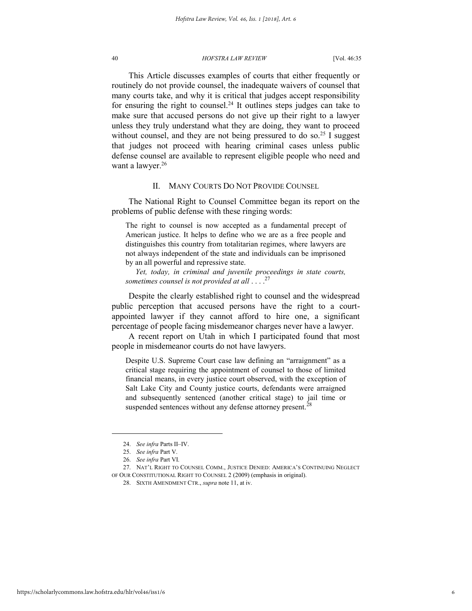This Article discusses examples of courts that either frequently or routinely do not provide counsel, the inadequate waivers of counsel that many courts take, and why it is critical that judges accept responsibility for ensuring the right to counsel.<sup>24</sup> It outlines steps judges can take to make sure that accused persons do not give up their right to a lawyer unless they truly understand what they are doing, they want to proceed without counsel, and they are not being pressured to do so.<sup>25</sup> I suggest that judges not proceed with hearing criminal cases unless public defense counsel are available to represent eligible people who need and want a lawyer.<sup>26</sup>

#### II. MANY COURTS DO NOT PROVIDE COUNSEL

The National Right to Counsel Committee began its report on the problems of public defense with these ringing words:

The right to counsel is now accepted as a fundamental precept of American justice. It helps to define who we are as a free people and distinguishes this country from totalitarian regimes, where lawyers are not always independent of the state and individuals can be imprisoned by an all powerful and repressive state.

 *Yet, today, in criminal and juvenile proceedings in state courts, sometimes counsel is not provided at all* . . . . 27

Despite the clearly established right to counsel and the widespread public perception that accused persons have the right to a courtappointed lawyer if they cannot afford to hire one, a significant percentage of people facing misdemeanor charges never have a lawyer.

A recent report on Utah in which I participated found that most people in misdemeanor courts do not have lawyers.

Despite U.S. Supreme Court case law defining an "arraignment" as a critical stage requiring the appointment of counsel to those of limited financial means, in every justice court observed, with the exception of Salt Lake City and County justice courts, defendants were arraigned and subsequently sentenced (another critical stage) to jail time or suspended sentences without any defense attorney present.<sup>2</sup>

<sup>24.</sup> *See infra* Parts II–IV.

<sup>25.</sup> *See infra* Part V.

<sup>26.</sup> *See infra* Part VI.

<sup>27.</sup> NAT'L RIGHT TO COUNSEL COMM., JUSTICE DENIED: AMERICA'S CONTINUING NEGLECT OF OUR CONSTITUTIONAL RIGHT TO COUNSEL 2 (2009) (emphasis in original).

<sup>28.</sup> SIXTH AMENDMENT CTR., *supra* note 11, at iv.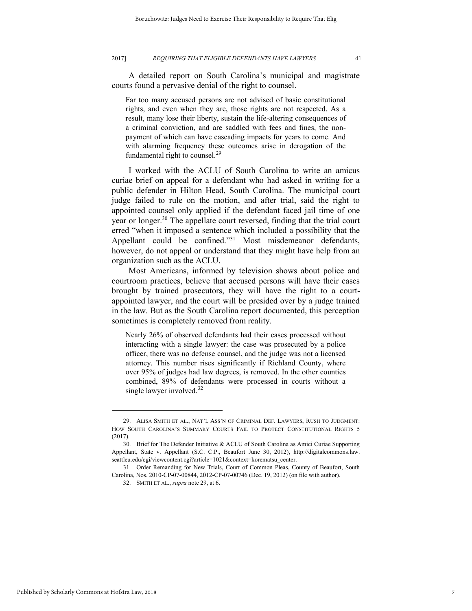A detailed report on South Carolina's municipal and magistrate courts found a pervasive denial of the right to counsel.

Far too many accused persons are not advised of basic constitutional rights, and even when they are, those rights are not respected. As a result, many lose their liberty, sustain the life-altering consequences of a criminal conviction, and are saddled with fees and fines, the nonpayment of which can have cascading impacts for years to come. And with alarming frequency these outcomes arise in derogation of the fundamental right to counsel.<sup>29</sup>

I worked with the ACLU of South Carolina to write an amicus curiae brief on appeal for a defendant who had asked in writing for a public defender in Hilton Head, South Carolina. The municipal court judge failed to rule on the motion, and after trial, said the right to appointed counsel only applied if the defendant faced jail time of one year or longer.<sup>30</sup> The appellate court reversed, finding that the trial court erred "when it imposed a sentence which included a possibility that the Appellant could be confined."<sup>31</sup> Most misdemeanor defendants, however, do not appeal or understand that they might have help from an organization such as the ACLU.

Most Americans, informed by television shows about police and courtroom practices, believe that accused persons will have their cases brought by trained prosecutors, they will have the right to a courtappointed lawyer, and the court will be presided over by a judge trained in the law. But as the South Carolina report documented, this perception sometimes is completely removed from reality.

Nearly 26% of observed defendants had their cases processed without interacting with a single lawyer: the case was prosecuted by a police officer, there was no defense counsel, and the judge was not a licensed attorney. This number rises significantly if Richland County, where over 95% of judges had law degrees, is removed. In the other counties combined, 89% of defendants were processed in courts without a single lawyer involved.<sup>32</sup>

<sup>29.</sup> ALISA SMITH ET AL., NAT'L ASS'N OF CRIMINAL DEF. LAWYERS, RUSH TO JUDGMENT: HOW SOUTH CAROLINA'S SUMMARY COURTS FAIL TO PROTECT CONSTITUTIONAL RIGHTS 5 (2017).

<sup>30.</sup> Brief for The Defender Initiative & ACLU of South Carolina as Amici Curiae Supporting Appellant, State v. Appellant (S.C. C.P., Beaufort June 30, 2012), http://digitalcommons.law. seattleu.edu/cgi/viewcontent.cgi?article=1021&context=korematsu\_center.

<sup>31.</sup> Order Remanding for New Trials, Court of Common Pleas, County of Beaufort, South Carolina, Nos. 2010-CP-07-00844, 2012-CP-07-00746 (Dec. 19, 2012) (on file with author).

<sup>32.</sup> SMITH ET AL., *supra* note 29, at 6.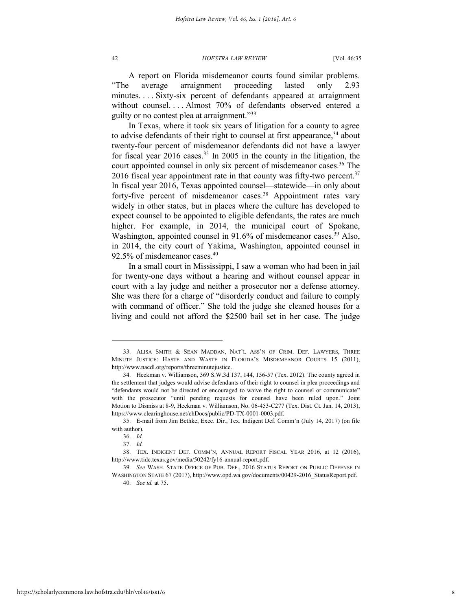A report on Florida misdemeanor courts found similar problems. "The average arraignment proceeding lasted only 2.93 minutes. . . . Sixty-six percent of defendants appeared at arraignment without counsel. . . . Almost 70% of defendants observed entered a guilty or no contest plea at arraignment."<sup>33</sup>

In Texas, where it took six years of litigation for a county to agree to advise defendants of their right to counsel at first appearance,<sup>34</sup> about twenty-four percent of misdemeanor defendants did not have a lawyer for fiscal year  $2016$  cases.<sup>35</sup> In 2005 in the county in the litigation, the court appointed counsel in only six percent of misdemeanor cases.<sup>36</sup> The 2016 fiscal year appointment rate in that county was fifty-two percent. $37$ In fiscal year 2016, Texas appointed counsel—statewide—in only about forty-five percent of misdemeanor cases.<sup>38</sup> Appointment rates vary widely in other states, but in places where the culture has developed to expect counsel to be appointed to eligible defendants, the rates are much higher. For example, in 2014, the municipal court of Spokane, Washington, appointed counsel in 91.6% of misdemeanor cases.<sup>39</sup> Also, in 2014, the city court of Yakima, Washington, appointed counsel in 92.5% of misdemeanor cases.<sup>40</sup>

In a small court in Mississippi, I saw a woman who had been in jail for twenty-one days without a hearing and without counsel appear in court with a lay judge and neither a prosecutor nor a defense attorney. She was there for a charge of "disorderly conduct and failure to comply with command of officer." She told the judge she cleaned houses for a living and could not afford the \$2500 bail set in her case. The judge

<sup>33.</sup> ALISA SMITH & SEAN MADDAN, NAT'L ASS'N OF CRIM. DEF. LAWYERS, THREE MINUTE JUSTICE: HASTE AND WASTE IN FLORIDA'S MISDEMEANOR COURTS 15 (2011), http://www.nacdl.org/reports/threeminutejustice.

<sup>34.</sup> Heckman v. Williamson, 369 S.W.3d 137, 144, 156-57 (Tex. 2012). The county agreed in the settlement that judges would advise defendants of their right to counsel in plea proceedings and "defendants would not be directed or encouraged to waive the right to counsel or communicate" with the prosecutor "until pending requests for counsel have been ruled upon." Joint Motion to Dismiss at 8-9, Heckman v. Williamson, No. 06-453-C277 (Tex. Dist. Ct. Jan. 14, 2013), https://www.clearinghouse.net/chDocs/public/PD-TX-0001-0003.pdf.

<sup>35.</sup> E-mail from Jim Bethke, Exec. Dir., Tex. Indigent Def. Comm'n (July 14, 2017) (on file with author).

<sup>36.</sup> *Id.*

<sup>37.</sup> *Id.*

<sup>38.</sup> TEX. INDIGENT DEF. COMM'N, ANNUAL REPORT FISCAL YEAR 2016, at 12 (2016), http://www.tidc.texas.gov/media/50242/fy16-annual-report.pdf.

<sup>39.</sup> *See* WASH. STATE OFFICE OF PUB. DEF., 2016 STATUS REPORT ON PUBLIC DEFENSE IN WASHINGTON STATE 67 (2017), http://www.opd.wa.gov/documents/00429-2016\_StatusReport.pdf.

<sup>40.</sup> *See id.* at 75.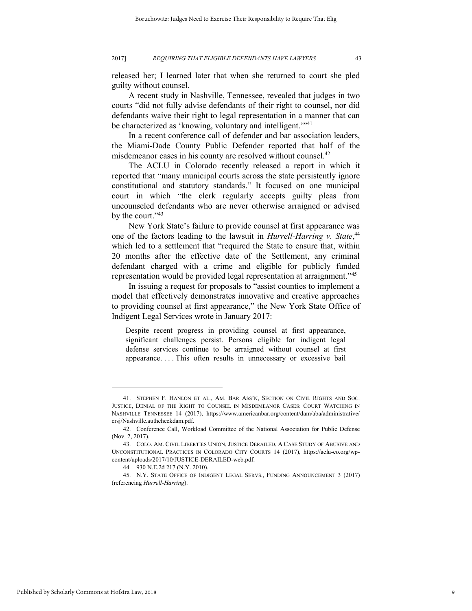released her; I learned later that when she returned to court she pled guilty without counsel.

A recent study in Nashville, Tennessee, revealed that judges in two courts "did not fully advise defendants of their right to counsel, nor did defendants waive their right to legal representation in a manner that can be characterized as 'knowing, voluntary and intelligent.'"<sup>41</sup>

In a recent conference call of defender and bar association leaders, the Miami-Dade County Public Defender reported that half of the misdemeanor cases in his county are resolved without counsel.<sup>42</sup>

The ACLU in Colorado recently released a report in which it reported that "many municipal courts across the state persistently ignore constitutional and statutory standards." It focused on one municipal court in which "the clerk regularly accepts guilty pleas from uncounseled defendants who are never otherwise arraigned or advised by the court."<sup>43</sup>

New York State's failure to provide counsel at first appearance was one of the factors leading to the lawsuit in *Hurrell-Harring v. State*, 44 which led to a settlement that "required the State to ensure that, within 20 months after the effective date of the Settlement, any criminal defendant charged with a crime and eligible for publicly funded representation would be provided legal representation at arraignment."<sup>45</sup>

In issuing a request for proposals to "assist counties to implement a model that effectively demonstrates innovative and creative approaches to providing counsel at first appearance," the New York State Office of Indigent Legal Services wrote in January 2017:

Despite recent progress in providing counsel at first appearance, significant challenges persist. Persons eligible for indigent legal defense services continue to be arraigned without counsel at first appearance. . . . This often results in unnecessary or excessive bail

<sup>41.</sup> STEPHEN F. HANLON ET AL., AM. BAR ASS'N, SECTION ON CIVIL RIGHTS AND SOC. JUSTICE, DENIAL OF THE RIGHT TO COUNSEL IN MISDEMEANOR CASES: COURT WATCHING IN NASHVILLE TENNESSEE 14 (2017), https://www.americanbar.org/content/dam/aba/administrative/ crsj/Nashville.authcheckdam.pdf.

<sup>42.</sup> Conference Call, Workload Committee of the National Association for Public Defense (Nov. 2, 2017).

<sup>43.</sup> COLO. AM. CIVIL LIBERTIES UNION, JUSTICE DERAILED, A CASE STUDY OF ABUSIVE AND UNCONSTITUTIONAL PRACTICES IN COLORADO CITY COURTS 14 (2017), https://aclu-co.org/wpcontent/uploads/2017/10/JUSTICE-DERAILED-web.pdf.

<sup>44. 930</sup> N.E.2d 217 (N.Y. 2010).

<sup>45.</sup> N.Y. STATE OFFICE OF INDIGENT LEGAL SERVS., FUNDING ANNOUNCEMENT 3 (2017) (referencing *Hurrell-Harring*).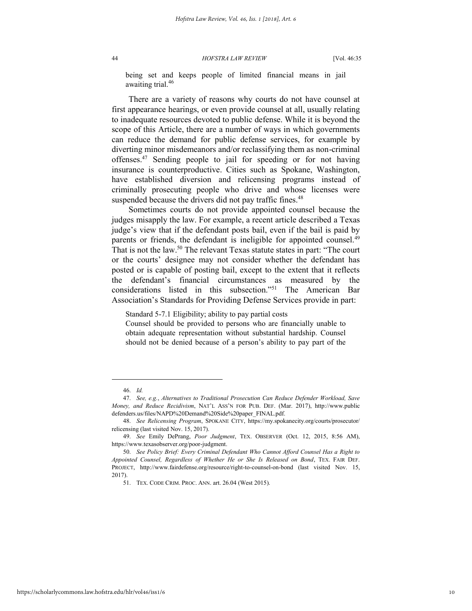being set and keeps people of limited financial means in jail awaiting trial.<sup>46</sup>

There are a variety of reasons why courts do not have counsel at first appearance hearings, or even provide counsel at all, usually relating to inadequate resources devoted to public defense. While it is beyond the scope of this Article, there are a number of ways in which governments can reduce the demand for public defense services, for example by diverting minor misdemeanors and/or reclassifying them as non-criminal offenses.<sup>47</sup> Sending people to jail for speeding or for not having insurance is counterproductive. Cities such as Spokane, Washington, have established diversion and relicensing programs instead of criminally prosecuting people who drive and whose licenses were suspended because the drivers did not pay traffic fines.<sup>48</sup>

Sometimes courts do not provide appointed counsel because the judges misapply the law. For example, a recent article described a Texas judge's view that if the defendant posts bail, even if the bail is paid by parents or friends, the defendant is ineligible for appointed counsel.<sup>49</sup> That is not the law.<sup>50</sup> The relevant Texas statute states in part: "The court or the courts' designee may not consider whether the defendant has posted or is capable of posting bail, except to the extent that it reflects the defendant's financial circumstances as measured by the considerations listed in this subsection."<sup>51</sup> The American Bar Association's Standards for Providing Defense Services provide in part:

Standard 5-7.1 Eligibility; ability to pay partial costs

Counsel should be provided to persons who are financially unable to obtain adequate representation without substantial hardship. Counsel should not be denied because of a person's ability to pay part of the

<sup>46.</sup> *Id.*

<sup>47.</sup> *See, e.g.*, *Alternatives to Traditional Prosecution Can Reduce Defender Workload, Save Money, and Reduce Recidivism*, NAT'L ASS'N FOR PUB. DEF. (Mar. 2017), http://www.public defenders.us/files/NAPD%20Demand%20Side%20paper\_FINAL.pdf.

<sup>48.</sup> *See Relicensing Program*, SPOKANE CITY, https://my.spokanecity.org/courts/prosecutor/ relicensing (last visited Nov. 15, 2017).

<sup>49.</sup> *See* Emily DePrang, *Poor Judgment*, TEX. OBSERVER (Oct. 12, 2015, 8:56 AM), https://www.texasobserver.org/poor-judgment.

<sup>50.</sup> *See Policy Brief: Every Criminal Defendant Who Cannot Afford Counsel Has a Right to Appointed Counsel, Regardless of Whether He or She Is Released on Bond*, TEX. FAIR DEF. PROJECT, http://www.fairdefense.org/resource/right-to-counsel-on-bond (last visited Nov. 15, 2017).

<sup>51.</sup> TEX. CODE CRIM. PROC. ANN. art. 26.04 (West 2015).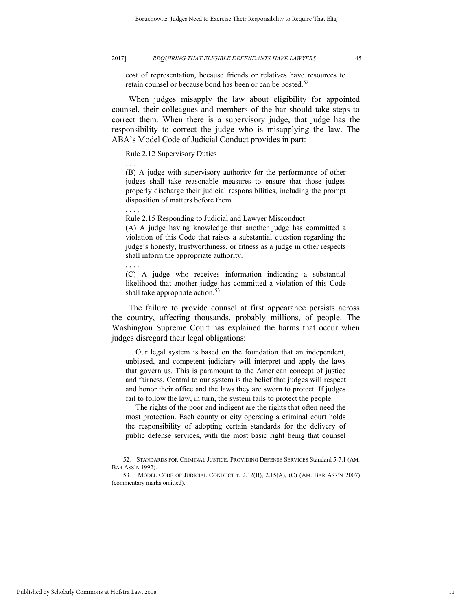. . . .

. . . .

. . . .

cost of representation, because friends or relatives have resources to retain counsel or because bond has been or can be posted.<sup>52</sup>

When judges misapply the law about eligibility for appointed counsel, their colleagues and members of the bar should take steps to correct them. When there is a supervisory judge, that judge has the responsibility to correct the judge who is misapplying the law. The ABA's Model Code of Judicial Conduct provides in part:

Rule 2.12 Supervisory Duties

(B) A judge with supervisory authority for the performance of other judges shall take reasonable measures to ensure that those judges properly discharge their judicial responsibilities, including the prompt disposition of matters before them.

Rule 2.15 Responding to Judicial and Lawyer Misconduct (A) A judge having knowledge that another judge has committed a violation of this Code that raises a substantial question regarding the judge's honesty, trustworthiness, or fitness as a judge in other respects shall inform the appropriate authority.

(C) A judge who receives information indicating a substantial likelihood that another judge has committed a violation of this Code shall take appropriate action.<sup>53</sup>

The failure to provide counsel at first appearance persists across the country, affecting thousands, probably millions, of people. The Washington Supreme Court has explained the harms that occur when judges disregard their legal obligations:

 Our legal system is based on the foundation that an independent, unbiased, and competent judiciary will interpret and apply the laws that govern us. This is paramount to the American concept of justice and fairness. Central to our system is the belief that judges will respect and honor their office and the laws they are sworn to protect. If judges fail to follow the law, in turn, the system fails to protect the people.

 The rights of the poor and indigent are the rights that often need the most protection. Each county or city operating a criminal court holds the responsibility of adopting certain standards for the delivery of public defense services, with the most basic right being that counsel

<sup>52.</sup> STANDARDS FOR CRIMINAL JUSTICE: PROVIDING DEFENSE SERVICES Standard 5-7.1 (AM. BAR ASS'N 1992).

<sup>53.</sup> MODEL CODE OF JUDICIAL CONDUCT r. 2.12(B), 2.15(A), (C) (AM. BAR ASS'N 2007) (commentary marks omitted).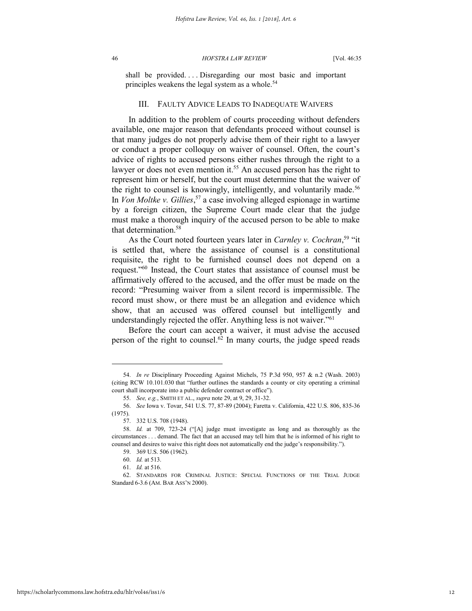shall be provided. . . . Disregarding our most basic and important principles weakens the legal system as a whole.<sup>54</sup>

#### III. FAULTY ADVICE LEADS TO INADEQUATE WAIVERS

In addition to the problem of courts proceeding without defenders available, one major reason that defendants proceed without counsel is that many judges do not properly advise them of their right to a lawyer or conduct a proper colloquy on waiver of counsel. Often, the court's advice of rights to accused persons either rushes through the right to a lawyer or does not even mention it.<sup>55</sup> An accused person has the right to represent him or herself, but the court must determine that the waiver of the right to counsel is knowingly, intelligently, and voluntarily made.<sup>56</sup> In *Von Moltke v. Gillies*, <sup>57</sup> a case involving alleged espionage in wartime by a foreign citizen, the Supreme Court made clear that the judge must make a thorough inquiry of the accused person to be able to make that determination.<sup>58</sup>

As the Court noted fourteen years later in *Carnley v. Cochran*, <sup>59</sup> "it is settled that, where the assistance of counsel is a constitutional requisite, the right to be furnished counsel does not depend on a request."<sup>60</sup> Instead, the Court states that assistance of counsel must be affirmatively offered to the accused, and the offer must be made on the record: "Presuming waiver from a silent record is impermissible. The record must show, or there must be an allegation and evidence which show, that an accused was offered counsel but intelligently and understandingly rejected the offer. Anything less is not waiver."<sup>61</sup>

Before the court can accept a waiver, it must advise the accused person of the right to counsel.<sup> $62$ </sup> In many courts, the judge speed reads

<sup>54.</sup> *In re* Disciplinary Proceeding Against Michels, 75 P.3d 950, 957 & n.2 (Wash. 2003) (citing RCW 10.101.030 that "further outlines the standards a county or city operating a criminal court shall incorporate into a public defender contract or office").

<sup>55.</sup> *See, e.g.*, SMITH ET AL., *supra* note 29, at 9, 29, 31-32.

<sup>56.</sup> *See* Iowa v. Tovar, 541 U.S. 77, 87-89 (2004); Faretta v. California, 422 U.S. 806, 835-36 (1975).

<sup>57. 332</sup> U.S. 708 (1948).

<sup>58.</sup> *Id.* at 709, 723-24 ("[A] judge must investigate as long and as thoroughly as the circumstances . . . demand. The fact that an accused may tell him that he is informed of his right to counsel and desires to waive this right does not automatically end the judge's responsibility.").

<sup>59. 369</sup> U.S. 506 (1962).

<sup>60.</sup> *Id.* at 513.

<sup>61.</sup> *Id.* at 516.

<sup>62.</sup> STANDARDS FOR CRIMINAL JUSTICE: SPECIAL FUNCTIONS OF THE TRIAL JUDGE Standard 6-3.6 (AM. BAR ASS'N 2000).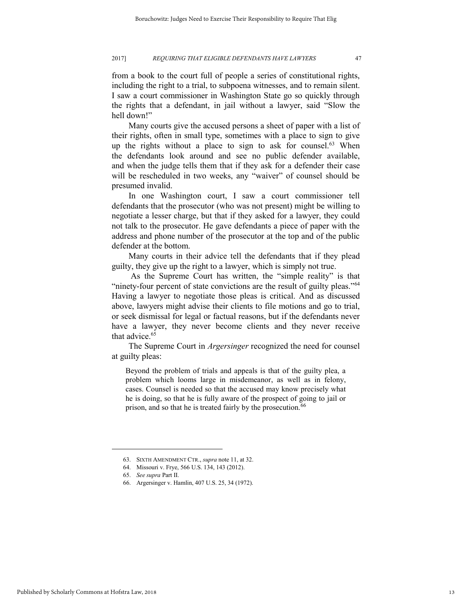from a book to the court full of people a series of constitutional rights, including the right to a trial, to subpoena witnesses, and to remain silent. I saw a court commissioner in Washington State go so quickly through the rights that a defendant, in jail without a lawyer, said "Slow the hell down!"

Many courts give the accused persons a sheet of paper with a list of their rights, often in small type, sometimes with a place to sign to give up the rights without a place to sign to ask for counsel.<sup>63</sup> When the defendants look around and see no public defender available, and when the judge tells them that if they ask for a defender their case will be rescheduled in two weeks, any "waiver" of counsel should be presumed invalid.

In one Washington court, I saw a court commissioner tell defendants that the prosecutor (who was not present) might be willing to negotiate a lesser charge, but that if they asked for a lawyer, they could not talk to the prosecutor. He gave defendants a piece of paper with the address and phone number of the prosecutor at the top and of the public defender at the bottom.

Many courts in their advice tell the defendants that if they plead guilty, they give up the right to a lawyer, which is simply not true.

As the Supreme Court has written, the "simple reality" is that "ninety-four percent of state convictions are the result of guilty pleas."<sup>64</sup> Having a lawyer to negotiate those pleas is critical. And as discussed above, lawyers might advise their clients to file motions and go to trial, or seek dismissal for legal or factual reasons, but if the defendants never have a lawyer, they never become clients and they never receive that advice.<sup>65</sup>

The Supreme Court in *Argersinger* recognized the need for counsel at guilty pleas:

Beyond the problem of trials and appeals is that of the guilty plea, a problem which looms large in misdemeanor, as well as in felony, cases. Counsel is needed so that the accused may know precisely what he is doing, so that he is fully aware of the prospect of going to jail or prison, and so that he is treated fairly by the prosecution.<sup>66</sup>

<sup>63.</sup> SIXTH AMENDMENT CTR., *supra* note 11, at 32.

<sup>64.</sup> Missouri v. Frye, 566 U.S. 134, 143 (2012).

<sup>65.</sup> *See supra* Part II.

<sup>66.</sup> Argersinger v. Hamlin, 407 U.S. 25, 34 (1972).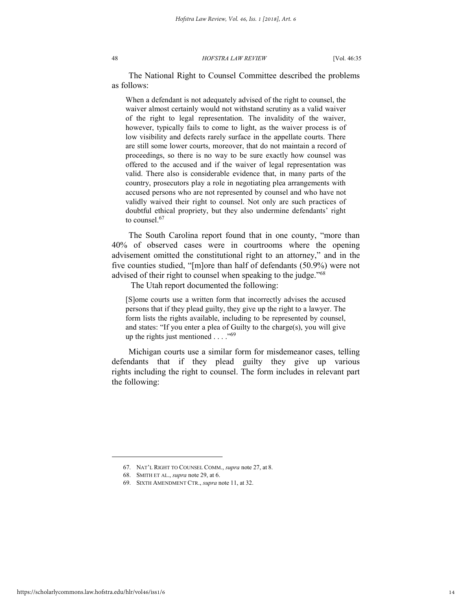The National Right to Counsel Committee described the problems as follows:

When a defendant is not adequately advised of the right to counsel, the waiver almost certainly would not withstand scrutiny as a valid waiver of the right to legal representation. The invalidity of the waiver, however, typically fails to come to light, as the waiver process is of low visibility and defects rarely surface in the appellate courts. There are still some lower courts, moreover, that do not maintain a record of proceedings, so there is no way to be sure exactly how counsel was offered to the accused and if the waiver of legal representation was valid. There also is considerable evidence that, in many parts of the country, prosecutors play a role in negotiating plea arrangements with accused persons who are not represented by counsel and who have not validly waived their right to counsel. Not only are such practices of doubtful ethical propriety, but they also undermine defendants' right to counsel.<sup>67</sup>

The South Carolina report found that in one county, "more than 40% of observed cases were in courtrooms where the opening advisement omitted the constitutional right to an attorney," and in the five counties studied, "[m]ore than half of defendants (50.9%) were not advised of their right to counsel when speaking to the judge."<sup>68</sup>

The Utah report documented the following:

[S]ome courts use a written form that incorrectly advises the accused persons that if they plead guilty, they give up the right to a lawyer. The form lists the rights available, including to be represented by counsel, and states: "If you enter a plea of Guilty to the charge(s), you will give up the rights just mentioned  $\ldots$ ."<sup>69</sup>

Michigan courts use a similar form for misdemeanor cases, telling defendants that if they plead guilty they give up various rights including the right to counsel. The form includes in relevant part the following:

<sup>67.</sup> NAT'L RIGHT TO COUNSEL COMM., *supra* note 27, at 8.

<sup>68.</sup> SMITH ET AL., *supra* note 29, at 6.

<sup>69.</sup> SIXTH AMENDMENT CTR., *supra* note 11, at 32.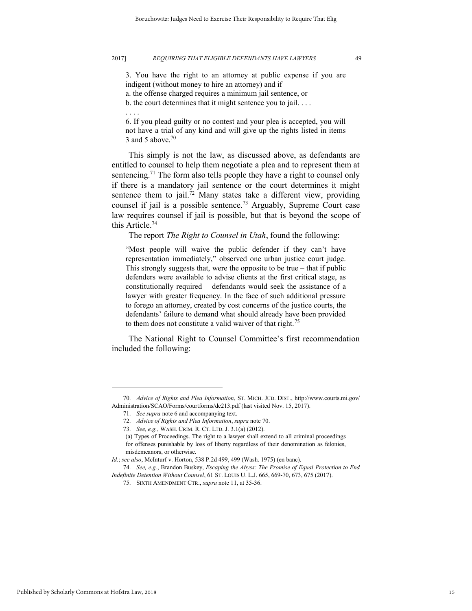3. You have the right to an attorney at public expense if you are indigent (without money to hire an attorney) and if

a. the offense charged requires a minimum jail sentence, or

b. the court determines that it might sentence you to jail. . . .

. . . .

6. If you plead guilty or no contest and your plea is accepted, you will not have a trial of any kind and will give up the rights listed in items 3 and 5 above. $70$ 

This simply is not the law, as discussed above, as defendants are entitled to counsel to help them negotiate a plea and to represent them at sentencing.<sup>71</sup> The form also tells people they have a right to counsel only if there is a mandatory jail sentence or the court determines it might sentence them to jail.<sup>72</sup> Many states take a different view, providing counsel if jail is a possible sentence.<sup>73</sup> Arguably, Supreme Court case law requires counsel if jail is possible, but that is beyond the scope of this Article.<sup>74</sup>

The report *The Right to Counsel in Utah*, found the following:

"Most people will waive the public defender if they can't have representation immediately," observed one urban justice court judge. This strongly suggests that, were the opposite to be true – that if public defenders were available to advise clients at the first critical stage, as constitutionally required – defendants would seek the assistance of a lawyer with greater frequency. In the face of such additional pressure to forego an attorney, created by cost concerns of the justice courts, the defendants' failure to demand what should already have been provided to them does not constitute a valid waiver of that right.<sup>75</sup>

The National Right to Counsel Committee's first recommendation included the following:

<sup>70.</sup> *Advice of Rights and Plea Information*, ST. MICH. JUD. DIST., http://www.courts.mi.gov/ Administration/SCAO/Forms/courtforms/dc213.pdf (last visited Nov. 15, 2017).

<sup>71.</sup> *See supra* note 6 and accompanying text.

<sup>72.</sup> *Advice of Rights and Plea Information*, *supra* note 70.

<sup>73.</sup> *See, e.g.*, WASH. CRIM. R. CT. LTD. J. 3.1(a) (2012).

<sup>(</sup>a) Types of Proceedings. The right to a lawyer shall extend to all criminal proceedings for offenses punishable by loss of liberty regardless of their denomination as felonies, misdemeanors, or otherwise.

*Id.*; *see also*, McInturf v. Horton, 538 P.2d 499, 499 (Wash. 1975) (en banc).

<sup>74.</sup> *See, e.g.*, Brandon Buskey, *Escaping the Abyss: The Promise of Equal Protection to End Indefinite Detention Without Counsel*, 61 ST. LOUIS U. L.J. 665, 669-70, 673, 675 (2017).

<sup>75.</sup> SIXTH AMENDMENT CTR., *supra* note 11, at 35-36.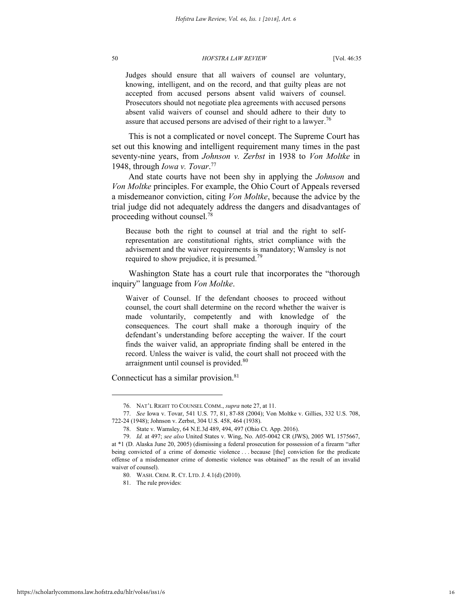Judges should ensure that all waivers of counsel are voluntary, knowing, intelligent, and on the record, and that guilty pleas are not accepted from accused persons absent valid waivers of counsel. Prosecutors should not negotiate plea agreements with accused persons absent valid waivers of counsel and should adhere to their duty to assure that accused persons are advised of their right to a lawyer.<sup>76</sup>

This is not a complicated or novel concept. The Supreme Court has set out this knowing and intelligent requirement many times in the past seventy-nine years, from *Johnson v. Zerbst* in 1938 to *Von Moltke* in 1948, through *Iowa v. Tovar*. 77

And state courts have not been shy in applying the *Johnson* and *Von Moltke* principles. For example, the Ohio Court of Appeals reversed a misdemeanor conviction, citing *Von Moltke*, because the advice by the trial judge did not adequately address the dangers and disadvantages of proceeding without counsel.<sup>78</sup>

Because both the right to counsel at trial and the right to selfrepresentation are constitutional rights, strict compliance with the advisement and the waiver requirements is mandatory; Wamsley is not required to show prejudice, it is presumed.<sup>79</sup>

Washington State has a court rule that incorporates the "thorough inquiry" language from *Von Moltke*.

Waiver of Counsel. If the defendant chooses to proceed without counsel, the court shall determine on the record whether the waiver is made voluntarily, competently and with knowledge of the consequences. The court shall make a thorough inquiry of the defendant's understanding before accepting the waiver. If the court finds the waiver valid, an appropriate finding shall be entered in the record. Unless the waiver is valid, the court shall not proceed with the arraignment until counsel is provided.<sup>80</sup>

Connecticut has a similar provision.<sup>81</sup>

<sup>76.</sup> NAT'L RIGHT TO COUNSEL COMM., *supra* note 27, at 11.

<sup>77.</sup> *See* Iowa v. Tovar, 541 U.S. 77, 81, 87-88 (2004); Von Moltke v. Gillies, 332 U.S. 708, 722-24 (1948); Johnson v. Zerbst, 304 U.S. 458, 464 (1938).

<sup>78.</sup> State v. Wamsley, 64 N.E.3d 489, 494, 497 (Ohio Ct. App. 2016).

<sup>79.</sup> *Id.* at 497; *see also* United States v. Wing, No. A05-0042 CR (JWS), 2005 WL 1575667, at \*1 (D. Alaska June 20, 2005) (dismissing a federal prosecution for possession of a firearm "after being convicted of a crime of domestic violence . . . because [the] conviction for the predicate offense of a misdemeanor crime of domestic violence was obtained" as the result of an invalid waiver of counsel).

<sup>80.</sup> WASH. CRIM. R. CT. LTD. J. 4.1(d) (2010).

<sup>81.</sup> The rule provides: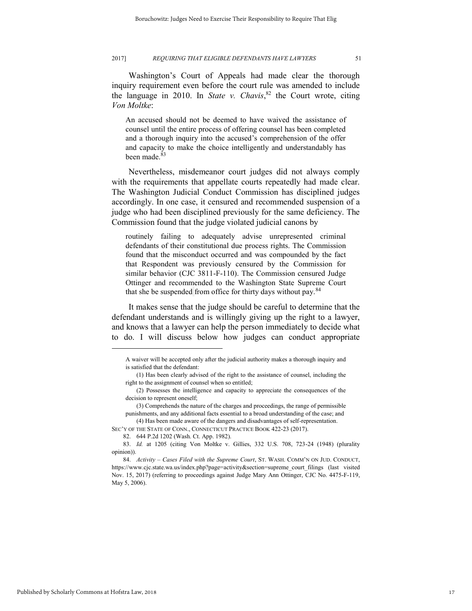Washington's Court of Appeals had made clear the thorough inquiry requirement even before the court rule was amended to include the language in 2010. In *State v. Chavis*, <sup>82</sup> the Court wrote, citing *Von Moltke*:

An accused should not be deemed to have waived the assistance of counsel until the entire process of offering counsel has been completed and a thorough inquiry into the accused's comprehension of the offer and capacity to make the choice intelligently and understandably has been made.<sup>83</sup>

Nevertheless, misdemeanor court judges did not always comply with the requirements that appellate courts repeatedly had made clear. The Washington Judicial Conduct Commission has disciplined judges accordingly. In one case, it censured and recommended suspension of a judge who had been disciplined previously for the same deficiency. The Commission found that the judge violated judicial canons by

routinely failing to adequately advise unrepresented criminal defendants of their constitutional due process rights. The Commission found that the misconduct occurred and was compounded by the fact that Respondent was previously censured by the Commission for similar behavior (CJC 3811-F-110). The Commission censured Judge Ottinger and recommended to the Washington State Supreme Court that she be suspended from office for thirty days without pay.<sup>84</sup>

It makes sense that the judge should be careful to determine that the defendant understands and is willingly giving up the right to a lawyer, and knows that a lawyer can help the person immediately to decide what to do. I will discuss below how judges can conduct appropriate

SEC'Y OF THE STATE OF CONN., CONNECTICUT PRACTICE BOOK 422-23 (2017).

A waiver will be accepted only after the judicial authority makes a thorough inquiry and is satisfied that the defendant:

 <sup>(1)</sup> Has been clearly advised of the right to the assistance of counsel, including the right to the assignment of counsel when so entitled;

 <sup>(2)</sup> Possesses the intelligence and capacity to appreciate the consequences of the decision to represent oneself:

 <sup>(3)</sup> Comprehends the nature of the charges and proceedings, the range of permissible punishments, and any additional facts essential to a broad understanding of the case; and (4) Has been made aware of the dangers and disadvantages of self-representation.

<sup>82. 644</sup> P.2d 1202 (Wash. Ct. App. 1982).

<sup>83.</sup> *Id.* at 1205 (citing Von Moltke v. Gillies, 332 U.S. 708, 723-24 (1948) (plurality opinion)).

<sup>84.</sup> *Activity – Cases Filed with the Supreme Court*, ST. WASH. COMM'N ON JUD. CONDUCT, https://www.cjc.state.wa.us/index.php?page=activity&section=supreme\_court\_filings (last visited Nov. 15, 2017) (referring to proceedings against Judge Mary Ann Ottinger, CJC No. 4475-F-119, May 5, 2006).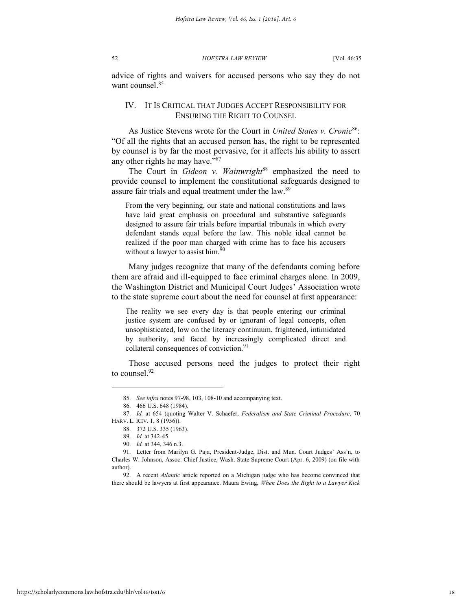advice of rights and waivers for accused persons who say they do not want counsel.<sup>85</sup>

#### IV. IT IS CRITICAL THAT JUDGES ACCEPT RESPONSIBILITY FOR ENSURING THE RIGHT TO COUNSEL

As Justice Stevens wrote for the Court in *United States v. Cronic*<sup>86</sup>: "Of all the rights that an accused person has, the right to be represented by counsel is by far the most pervasive, for it affects his ability to assert any other rights he may have."<sup>87</sup>

The Court in *Gideon v. Wainwright*<sup>88</sup> emphasized the need to provide counsel to implement the constitutional safeguards designed to assure fair trials and equal treatment under the law.<sup>89</sup>

From the very beginning, our state and national constitutions and laws have laid great emphasis on procedural and substantive safeguards designed to assure fair trials before impartial tribunals in which every defendant stands equal before the law. This noble ideal cannot be realized if the poor man charged with crime has to face his accusers without a lawyer to assist him. $90$ 

Many judges recognize that many of the defendants coming before them are afraid and ill-equipped to face criminal charges alone. In 2009, the Washington District and Municipal Court Judges' Association wrote to the state supreme court about the need for counsel at first appearance:

The reality we see every day is that people entering our criminal justice system are confused by or ignorant of legal concepts, often unsophisticated, low on the literacy continuum, frightened, intimidated by authority, and faced by increasingly complicated direct and collateral consequences of conviction.<sup>91</sup>

Those accused persons need the judges to protect their right to counsel.<sup>92</sup>

<sup>85.</sup> *See infra* notes 97-98, 103, 108-10 and accompanying text.

<sup>86. 466</sup> U.S. 648 (1984).

<sup>87.</sup> *Id.* at 654 (quoting Walter V. Schaefer, *Federalism and State Criminal Procedure*, 70 HARV. L. REV. 1, 8 (1956)).

<sup>88. 372</sup> U.S. 335 (1963).

<sup>89.</sup> *Id.* at 342-45.

<sup>90.</sup> *Id.* at 344, 346 n.3.

<sup>91.</sup> Letter from Marilyn G. Paja, President-Judge, Dist. and Mun. Court Judges' Ass'n, to Charles W. Johnson, Assoc. Chief Justice, Wash. State Supreme Court (Apr. 6, 2009) (on file with author).

<sup>92.</sup> A recent *Atlantic* article reported on a Michigan judge who has become convinced that there should be lawyers at first appearance. Maura Ewing, *When Does the Right to a Lawyer Kick*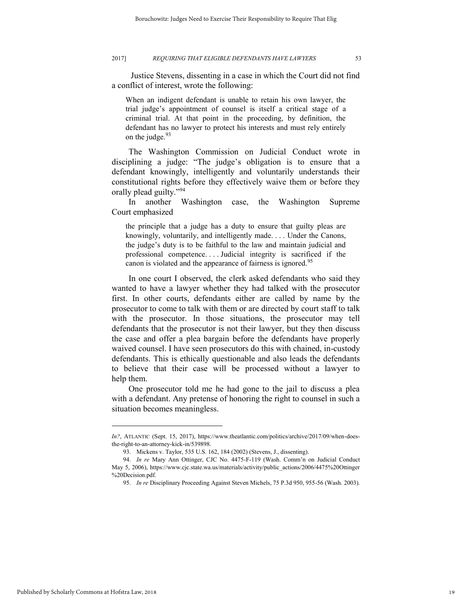Justice Stevens, dissenting in a case in which the Court did not find a conflict of interest, wrote the following:

When an indigent defendant is unable to retain his own lawyer, the trial judge's appointment of counsel is itself a critical stage of a criminal trial. At that point in the proceeding, by definition, the defendant has no lawyer to protect his interests and must rely entirely on the judge.  $93$ 

The Washington Commission on Judicial Conduct wrote in disciplining a judge: "The judge's obligation is to ensure that a defendant knowingly, intelligently and voluntarily understands their constitutional rights before they effectively waive them or before they orally plead guilty."<sup>94</sup>

In another Washington case, the Washington Supreme Court emphasized

the principle that a judge has a duty to ensure that guilty pleas are knowingly, voluntarily, and intelligently made. . . . Under the Canons, the judge's duty is to be faithful to the law and maintain judicial and professional competence. . . . Judicial integrity is sacrificed if the canon is violated and the appearance of fairness is ignored.<sup>95</sup>

In one court I observed, the clerk asked defendants who said they wanted to have a lawyer whether they had talked with the prosecutor first. In other courts, defendants either are called by name by the prosecutor to come to talk with them or are directed by court staff to talk with the prosecutor. In those situations, the prosecutor may tell defendants that the prosecutor is not their lawyer, but they then discuss the case and offer a plea bargain before the defendants have properly waived counsel. I have seen prosecutors do this with chained, in-custody defendants. This is ethically questionable and also leads the defendants to believe that their case will be processed without a lawyer to help them.

One prosecutor told me he had gone to the jail to discuss a plea with a defendant. Any pretense of honoring the right to counsel in such a situation becomes meaningless.

*In?*, ATLANTIC (Sept. 15, 2017), https://www.theatlantic.com/politics/archive/2017/09/when-doesthe-right-to-an-attorney-kick-in/539898.

<sup>93.</sup> Mickens v. Taylor, 535 U.S. 162, 184 (2002) (Stevens, J., dissenting).

<sup>94.</sup> *In re* Mary Ann Ottinger, CJC No. 4475-F-119 (Wash. Comm'n on Judicial Conduct May 5, 2006), https://www.cjc.state.wa.us/materials/activity/public\_actions/2006/4475%20Ottinger %20Decision.pdf.

<sup>95.</sup> *In re* Disciplinary Proceeding Against Steven Michels, 75 P.3d 950, 955-56 (Wash. 2003).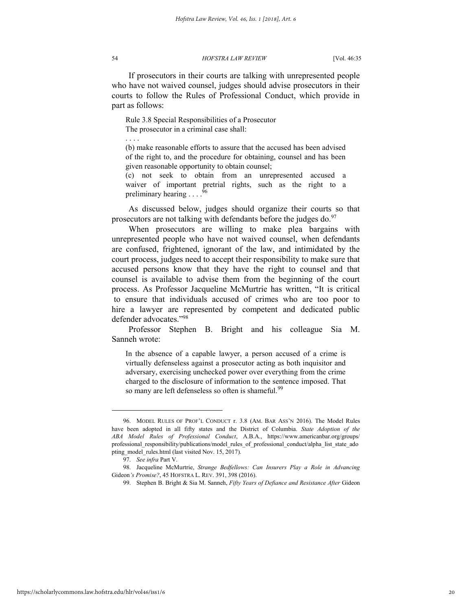If prosecutors in their courts are talking with unrepresented people who have not waived counsel, judges should advise prosecutors in their courts to follow the Rules of Professional Conduct, which provide in part as follows:

Rule 3.8 Special Responsibilities of a Prosecutor The prosecutor in a criminal case shall:

. . . .

(b) make reasonable efforts to assure that the accused has been advised of the right to, and the procedure for obtaining, counsel and has been given reasonable opportunity to obtain counsel;

(c) not seek to obtain from an unrepresented accused a waiver of important pretrial rights, such as the right to a preliminary hearing . . . .<sup>9</sup>

As discussed below, judges should organize their courts so that prosecutors are not talking with defendants before the judges do. $97$ 

When prosecutors are willing to make plea bargains with unrepresented people who have not waived counsel, when defendants are confused, frightened, ignorant of the law, and intimidated by the court process, judges need to accept their responsibility to make sure that accused persons know that they have the right to counsel and that counsel is available to advise them from the beginning of the court process. As Professor Jacqueline McMurtrie has written, "It is critical to ensure that individuals accused of crimes who are too poor to hire a lawyer are represented by competent and dedicated public defender advocates."<sup>98</sup>

Professor Stephen B. Bright and his colleague Sia M. Sanneh wrote:

In the absence of a capable lawyer, a person accused of a crime is virtually defenseless against a prosecutor acting as both inquisitor and adversary, exercising unchecked power over everything from the crime charged to the disclosure of information to the sentence imposed. That so many are left defenseless so often is shameful.<sup>99</sup>

<sup>96.</sup> MODEL RULES OF PROF'L CONDUCT r. 3.8 (AM. BAR ASS'N 2016). The Model Rules have been adopted in all fifty states and the District of Columbia. *State Adoption of the ABA Model Rules of Professional Conduct*, A.B.A., https://www.americanbar.org/groups/ professional responsibility/publications/model rules of professional conduct/alpha list state ado pting\_model\_rules.html (last visited Nov. 15, 2017).

<sup>97.</sup> *See infra* Part V.

<sup>98.</sup> Jacqueline McMurtrie, *Strange Bedfellows: Can Insurers Play a Role in Advancing*  Gideon*'s Promise?*, 45 HOFSTRA L. REV. 391, 398 (2016).

<sup>99.</sup> Stephen B. Bright & Sia M. Sanneh, *Fifty Years of Defiance and Resistance After* Gideon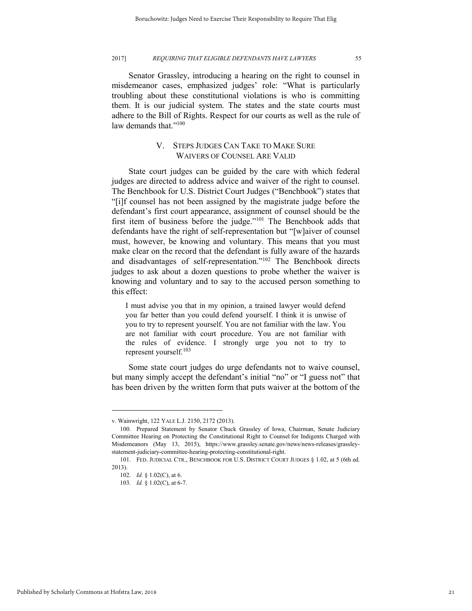Senator Grassley, introducing a hearing on the right to counsel in misdemeanor cases, emphasized judges' role: "What is particularly troubling about these constitutional violations is who is committing them. It is our judicial system. The states and the state courts must adhere to the Bill of Rights. Respect for our courts as well as the rule of law demands that."<sup>100</sup>

#### V. STEPS JUDGES CAN TAKE TO MAKE SURE WAIVERS OF COUNSEL ARE VALID

State court judges can be guided by the care with which federal judges are directed to address advice and waiver of the right to counsel. The Benchbook for U.S. District Court Judges ("Benchbook") states that "[i]f counsel has not been assigned by the magistrate judge before the defendant's first court appearance, assignment of counsel should be the first item of business before the judge."<sup>101</sup> The Benchbook adds that defendants have the right of self-representation but "[w]aiver of counsel must, however, be knowing and voluntary. This means that you must make clear on the record that the defendant is fully aware of the hazards and disadvantages of self-representation."<sup>102</sup> The Benchbook directs judges to ask about a dozen questions to probe whether the waiver is knowing and voluntary and to say to the accused person something to this effect:

I must advise you that in my opinion, a trained lawyer would defend you far better than you could defend yourself. I think it is unwise of you to try to represent yourself. You are not familiar with the law. You are not familiar with court procedure. You are not familiar with the rules of evidence. I strongly urge you not to try to represent yourself.<sup>103</sup>

Some state court judges do urge defendants not to waive counsel, but many simply accept the defendant's initial "no" or "I guess not" that has been driven by the written form that puts waiver at the bottom of the

v. Wainwright, 122 YALE L.J. 2150, 2172 (2013).

<sup>100.</sup> Prepared Statement by Senator Chuck Grassley of Iowa, Chairman, Senate Judiciary Committee Hearing on Protecting the Constitutional Right to Counsel for Indigents Charged with Misdemeanors (May 13, 2015), https://www.grassley.senate.gov/news/news-releases/grassleystatement-judiciary-committee-hearing-protecting-constitutional-right.

<sup>101.</sup> FED. JUDICIAL CTR., BENCHBOOK FOR U.S. DISTRICT COURT JUDGES § 1.02, at 5 (6th ed. 2013).

<sup>102.</sup> *Id.* § 1.02(C), at 6.

<sup>103.</sup> *Id.* § 1.02(C), at 6-7.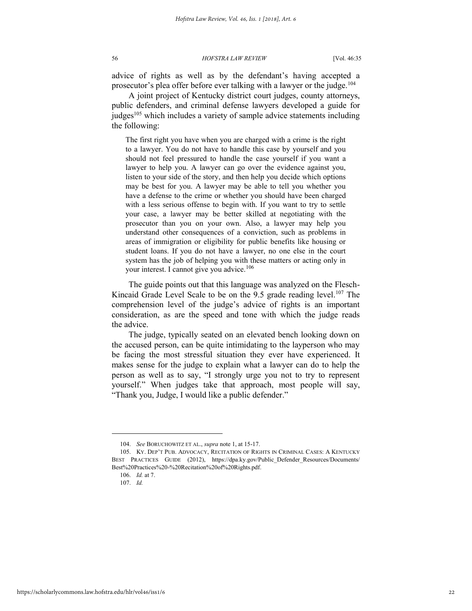advice of rights as well as by the defendant's having accepted a prosecutor's plea offer before ever talking with a lawyer or the judge.<sup>104</sup>

A joint project of Kentucky district court judges, county attorneys, public defenders, and criminal defense lawyers developed a guide for judges<sup>105</sup> which includes a variety of sample advice statements including the following:

The first right you have when you are charged with a crime is the right to a lawyer. You do not have to handle this case by yourself and you should not feel pressured to handle the case yourself if you want a lawyer to help you. A lawyer can go over the evidence against you, listen to your side of the story, and then help you decide which options may be best for you. A lawyer may be able to tell you whether you have a defense to the crime or whether you should have been charged with a less serious offense to begin with. If you want to try to settle your case, a lawyer may be better skilled at negotiating with the prosecutor than you on your own. Also, a lawyer may help you understand other consequences of a conviction, such as problems in areas of immigration or eligibility for public benefits like housing or student loans. If you do not have a lawyer, no one else in the court system has the job of helping you with these matters or acting only in your interest. I cannot give you advice.<sup>106</sup>

The guide points out that this language was analyzed on the Flesch-Kincaid Grade Level Scale to be on the 9.5 grade reading level.<sup>107</sup> The comprehension level of the judge's advice of rights is an important consideration, as are the speed and tone with which the judge reads the advice.

The judge, typically seated on an elevated bench looking down on the accused person, can be quite intimidating to the layperson who may be facing the most stressful situation they ever have experienced. It makes sense for the judge to explain what a lawyer can do to help the person as well as to say, "I strongly urge you not to try to represent yourself." When judges take that approach, most people will say, "Thank you, Judge, I would like a public defender."

<sup>104.</sup> *See* BORUCHOWITZ ET AL., *supra* note 1, at 15-17.

<sup>105.</sup> KY. DEP'T PUB. ADVOCACY, RECITATION OF RIGHTS IN CRIMINAL CASES: A KENTUCKY BEST PRACTICES GUIDE (2012), https://dpa.ky.gov/Public\_Defender\_Resources/Documents/ Best%20Practices%20-%20Recitation%20of%20Rights.pdf.

<sup>106.</sup> *Id.* at 7.

<sup>107.</sup> *Id.*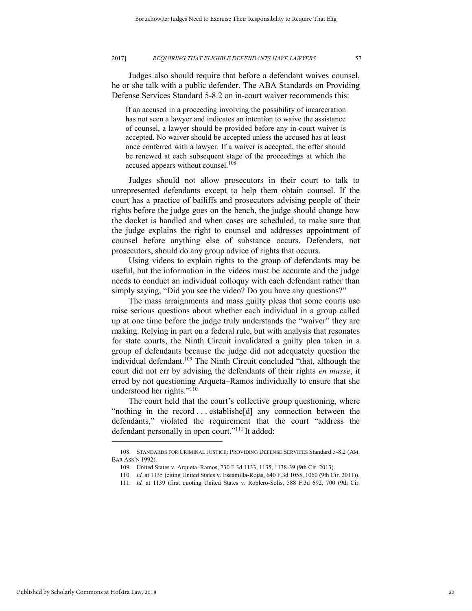Judges also should require that before a defendant waives counsel, he or she talk with a public defender. The ABA Standards on Providing Defense Services Standard 5-8.2 on in-court waiver recommends this:

If an accused in a proceeding involving the possibility of incarceration has not seen a lawyer and indicates an intention to waive the assistance of counsel, a lawyer should be provided before any in-court waiver is accepted. No waiver should be accepted unless the accused has at least once conferred with a lawyer. If a waiver is accepted, the offer should be renewed at each subsequent stage of the proceedings at which the accused appears without counsel.<sup>108</sup>

Judges should not allow prosecutors in their court to talk to unrepresented defendants except to help them obtain counsel. If the court has a practice of bailiffs and prosecutors advising people of their rights before the judge goes on the bench, the judge should change how the docket is handled and when cases are scheduled, to make sure that the judge explains the right to counsel and addresses appointment of counsel before anything else of substance occurs. Defenders, not prosecutors, should do any group advice of rights that occurs.

Using videos to explain rights to the group of defendants may be useful, but the information in the videos must be accurate and the judge needs to conduct an individual colloquy with each defendant rather than simply saying, "Did you see the video? Do you have any questions?"

The mass arraignments and mass guilty pleas that some courts use raise serious questions about whether each individual in a group called up at one time before the judge truly understands the "waiver" they are making. Relying in part on a federal rule, but with analysis that resonates for state courts, the Ninth Circuit invalidated a guilty plea taken in a group of defendants because the judge did not adequately question the individual defendant.<sup>109</sup> The Ninth Circuit concluded "that, although the court did not err by advising the defendants of their rights *en masse*, it erred by not questioning Arqueta–Ramos individually to ensure that she understood her rights." 110

The court held that the court's collective group questioning, where "nothing in the record . . . establishe[d] any connection between the defendants," violated the requirement that the court "address the defendant personally in open court." <sup>111</sup> It added:

<sup>108.</sup> STANDARDS FOR CRIMINAL JUSTICE: PROVIDING DEFENSE SERVICES Standard 5-8.2 (AM. BAR ASS'N 1992).

<sup>109.</sup> United States v. Arqueta–Ramos, 730 F.3d 1133, 1135, 1138-39 (9th Cir. 2013).

<sup>110.</sup> *Id.* at 1135 (citing United States v. Escamilla-Rojas, 640 F.3d 1055, 1060 (9th Cir. 2011)).

<sup>111.</sup> *Id.* at 1139 (first quoting United States v. Roblero-Solis, 588 F.3d 692, 700 (9th Cir.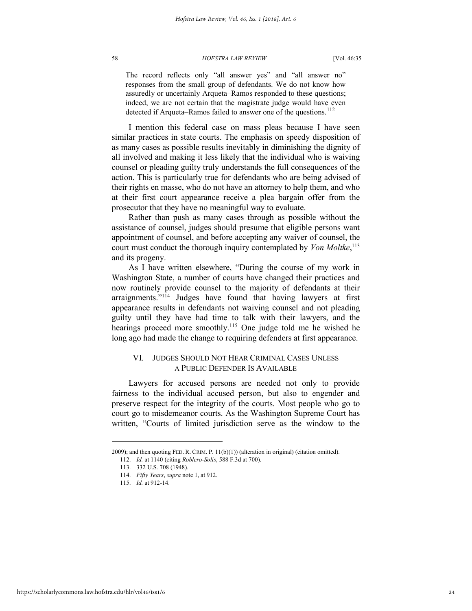The record reflects only "all answer yes" and "all answer no" responses from the small group of defendants. We do not know how assuredly or uncertainly Arqueta–Ramos responded to these questions; indeed, we are not certain that the magistrate judge would have even detected if Arqueta–Ramos failed to answer one of the questions.<sup>112</sup>

I mention this federal case on mass pleas because I have seen similar practices in state courts. The emphasis on speedy disposition of as many cases as possible results inevitably in diminishing the dignity of all involved and making it less likely that the individual who is waiving counsel or pleading guilty truly understands the full consequences of the action. This is particularly true for defendants who are being advised of their rights en masse, who do not have an attorney to help them, and who at their first court appearance receive a plea bargain offer from the prosecutor that they have no meaningful way to evaluate.

Rather than push as many cases through as possible without the assistance of counsel, judges should presume that eligible persons want appointment of counsel, and before accepting any waiver of counsel, the court must conduct the thorough inquiry contemplated by *Von Moltke*, 113 and its progeny.

As I have written elsewhere, "During the course of my work in Washington State, a number of courts have changed their practices and now routinely provide counsel to the majority of defendants at their arraignments."<sup>114</sup> Judges have found that having lawyers at first appearance results in defendants not waiving counsel and not pleading guilty until they have had time to talk with their lawyers, and the hearings proceed more smoothly.<sup>115</sup> One judge told me he wished he long ago had made the change to requiring defenders at first appearance.

### VI. JUDGES SHOULD NOT HEAR CRIMINAL CASES UNLESS A PUBLIC DEFENDER IS AVAILABLE

Lawyers for accused persons are needed not only to provide fairness to the individual accused person, but also to engender and preserve respect for the integrity of the courts. Most people who go to court go to misdemeanor courts. As the Washington Supreme Court has written, "Courts of limited jurisdiction serve as the window to the

<sup>2009);</sup> and then quoting FED. R. CRIM. P. 11(b)(1)) (alteration in original) (citation omitted).

<sup>112.</sup> *Id.* at 1140 (citing *Roblero-Solis*, 588 F.3d at 700).

<sup>113. 332</sup> U.S. 708 (1948).

<sup>114.</sup> *Fifty Years*, *supra* note 1, at 912.

<sup>115.</sup> *Id.* at 912-14.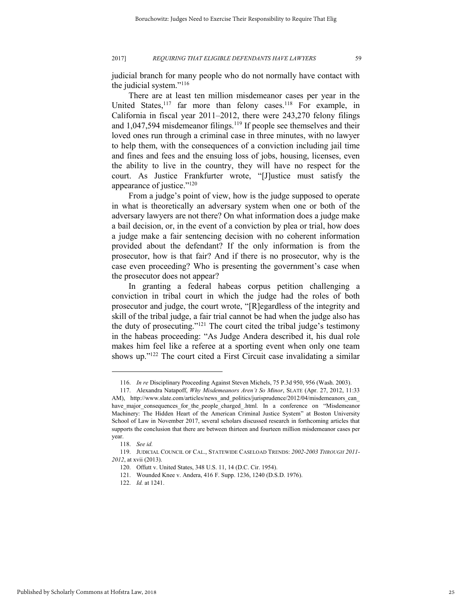judicial branch for many people who do not normally have contact with the judicial system."<sup>116</sup>

There are at least ten million misdemeanor cases per year in the United States, $117$  far more than felony cases. $118$  For example, in California in fiscal year 2011–2012, there were 243,270 felony filings and  $1,047,594$  misdemeanor filings.<sup>119</sup> If people see themselves and their loved ones run through a criminal case in three minutes, with no lawyer to help them, with the consequences of a conviction including jail time and fines and fees and the ensuing loss of jobs, housing, licenses, even the ability to live in the country, they will have no respect for the court. As Justice Frankfurter wrote, "[J]ustice must satisfy the appearance of justice."<sup>120</sup>

From a judge's point of view, how is the judge supposed to operate in what is theoretically an adversary system when one or both of the adversary lawyers are not there? On what information does a judge make a bail decision, or, in the event of a conviction by plea or trial, how does a judge make a fair sentencing decision with no coherent information provided about the defendant? If the only information is from the prosecutor, how is that fair? And if there is no prosecutor, why is the case even proceeding? Who is presenting the government's case when the prosecutor does not appear?

In granting a federal habeas corpus petition challenging a conviction in tribal court in which the judge had the roles of both prosecutor and judge, the court wrote, "[R]egardless of the integrity and skill of the tribal judge, a fair trial cannot be had when the judge also has the duty of prosecuting."<sup>121</sup> The court cited the tribal judge's testimony in the habeas proceeding: "As Judge Andera described it, his dual role makes him feel like a referee at a sporting event when only one team shows up."<sup>122</sup> The court cited a First Circuit case invalidating a similar

<sup>116.</sup> *In re* Disciplinary Proceeding Against Steven Michels, 75 P.3d 950, 956 (Wash. 2003).

<sup>117.</sup> Alexandra Natapoff, *Why Misdemeanors Aren't So Minor*, SLATE (Apr. 27, 2012, 11:33 AM), http://www.slate.com/articles/news and politics/jurisprudence/2012/04/misdemeanors can have\_major\_consequences\_for\_the\_people\_charged\_.html. In a conference on "Misdemeanor Machinery: The Hidden Heart of the American Criminal Justice System" at Boston University School of Law in November 2017, several scholars discussed research in forthcoming articles that supports the conclusion that there are between thirteen and fourteen million misdemeanor cases per year.

<sup>118.</sup> *See id.*

<sup>119.</sup> JUDICIAL COUNCIL OF CAL., STATEWIDE CASELOAD TRENDS: *2002-2003 THROUGH 2011- 2012*, at xvii (2013).

<sup>120.</sup> Offutt v. United States, 348 U.S. 11, 14 (D.C. Cir. 1954).

<sup>121.</sup> Wounded Knee v. Andera, 416 F. Supp. 1236, 1240 (D.S.D. 1976).

<sup>122.</sup> *Id.* at 1241.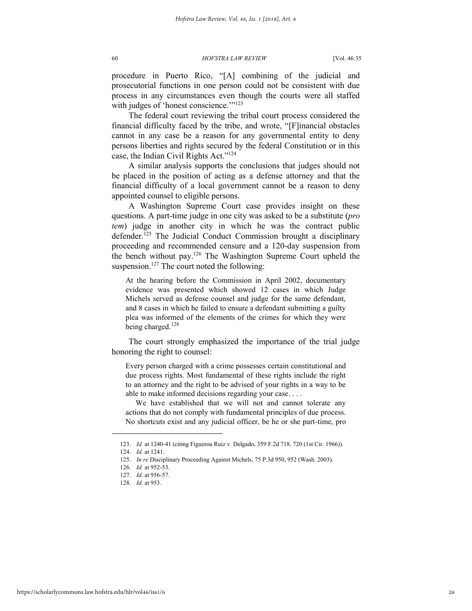procedure in Puerto Rico, "[A] combining of the judicial and prosecutorial functions in one person could not be consistent with due process in any circumstances even though the courts were all staffed with judges of 'honest conscience.'"<sup>123</sup>

The federal court reviewing the tribal court process considered the financial difficulty faced by the tribe, and wrote, "[F]inancial obstacles cannot in any case be a reason for any governmental entity to deny persons liberties and rights secured by the federal Constitution or in this case, the Indian Civil Rights Act."<sup>124</sup>

A similar analysis supports the conclusions that judges should not be placed in the position of acting as a defense attorney and that the financial difficulty of a local government cannot be a reason to deny appointed counsel to eligible persons.

A Washington Supreme Court case provides insight on these questions. A part-time judge in one city was asked to be a substitute (*pro tem*) judge in another city in which he was the contract public defender.<sup>125</sup> The Judicial Conduct Commission brought a disciplinary proceeding and recommended censure and a 120-day suspension from the bench without pay.<sup>126</sup> The Washington Supreme Court upheld the suspension.<sup>127</sup> The court noted the following:

At the hearing before the Commission in April 2002, documentary evidence was presented which showed 12 cases in which Judge Michels served as defense counsel and judge for the same defendant, and 8 cases in which he failed to ensure a defendant submitting a guilty plea was informed of the elements of the crimes for which they were being charged.<sup>128</sup>

The court strongly emphasized the importance of the trial judge honoring the right to counsel:

Every person charged with a crime possesses certain constitutional and due process rights. Most fundamental of these rights include the right to an attorney and the right to be advised of your rights in a way to be able to make informed decisions regarding your case. . . .

We have established that we will not and cannot tolerate any actions that do not comply with fundamental principles of due process. No shortcuts exist and any judicial officer, be he or she part-time, pro

<sup>123.</sup> *Id.* at 1240-41 (citing Figueroa Ruiz v. Delgado, 359 F.2d 718, 720 (1st Cir. 1966)).

<sup>124.</sup> *Id.* at 1241.

<sup>125.</sup> *In re* Disciplinary Proceeding Against Michels, 75 P.3d 950, 952 (Wash. 2003).

<sup>126.</sup> *Id.* at 952-53.

<sup>127.</sup> *Id.* at 956-57.

<sup>128.</sup> *Id.* at 953.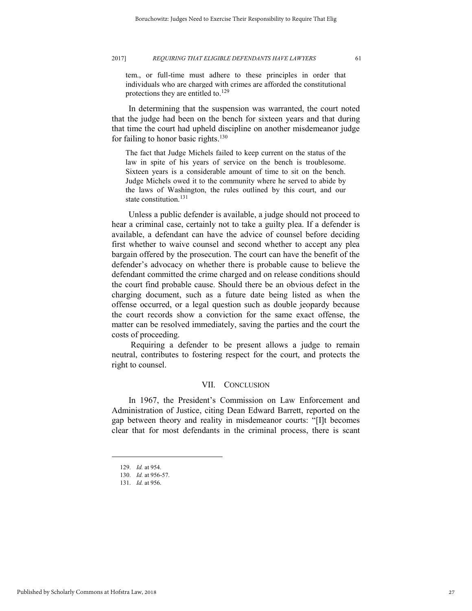tem., or full-time must adhere to these principles in order that individuals who are charged with crimes are afforded the constitutional protections they are entitled to.<sup>129</sup>

In determining that the suspension was warranted, the court noted that the judge had been on the bench for sixteen years and that during that time the court had upheld discipline on another misdemeanor judge for failing to honor basic rights. $130$ 

The fact that Judge Michels failed to keep current on the status of the law in spite of his years of service on the bench is troublesome. Sixteen years is a considerable amount of time to sit on the bench. Judge Michels owed it to the community where he served to abide by the laws of Washington, the rules outlined by this court, and our state constitution.<sup>131</sup>

Unless a public defender is available, a judge should not proceed to hear a criminal case, certainly not to take a guilty plea. If a defender is available, a defendant can have the advice of counsel before deciding first whether to waive counsel and second whether to accept any plea bargain offered by the prosecution. The court can have the benefit of the defender's advocacy on whether there is probable cause to believe the defendant committed the crime charged and on release conditions should the court find probable cause. Should there be an obvious defect in the charging document, such as a future date being listed as when the offense occurred, or a legal question such as double jeopardy because the court records show a conviction for the same exact offense, the matter can be resolved immediately, saving the parties and the court the costs of proceeding.

Requiring a defender to be present allows a judge to remain neutral, contributes to fostering respect for the court, and protects the right to counsel.

#### VII. CONCLUSION

In 1967, the President's Commission on Law Enforcement and Administration of Justice, citing Dean Edward Barrett, reported on the gap between theory and reality in misdemeanor courts: "[I]t becomes clear that for most defendants in the criminal process, there is scant

<sup>129.</sup> *Id.* at 954.

<sup>130.</sup> *Id.* at 956-57.

<sup>131.</sup> *Id.* at 956.